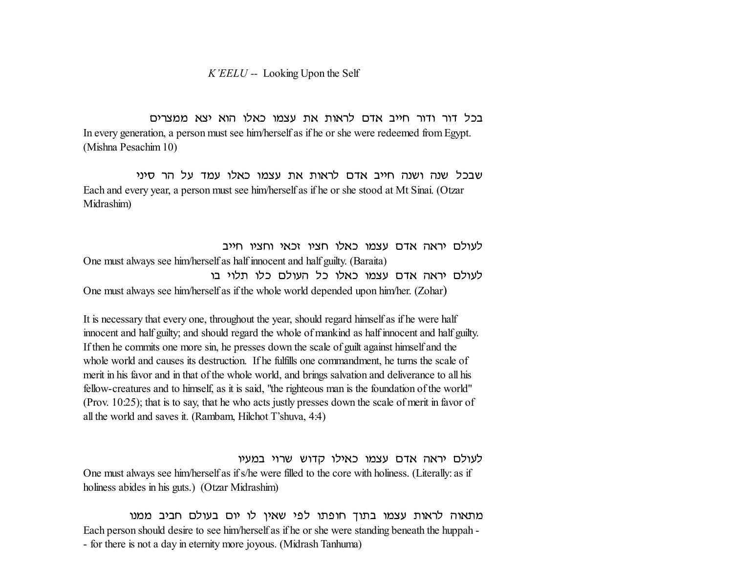*K'EELU --* Looking Upon the Self

בכל דור ודור חייב אדם לראות את עצמו כאלו הוא יצא ממצרים In every generation, a person must see him/herself as if he or she were redeemed from Egypt. (Mishna Pesachim 10)

שבכל שנה ושנה חייב אדם לראות את עצמו כאלו עמד על הר סיני Each and every year, a person must see him/herself as if he or she stood at Mt Sinai. (Otzar Midrashim)

לעולם יראה אדם עצמו כאלו חציו זכאי וחציו חייב One must always see him/herself as half innocent and half guilty. (Baraita) לעולם יראה אדם עצמו כאלו כל העולם כלו תלוי בו One must always see him/herself as if the whole world depended upon him/her. (Zohar)

It is necessary that every one, throughout the year, should regard himself as if he were half innocent and half guilty; and should regard the whole of mankind as half innocent and half guilty. If then he commits one more sin, he presses down the scale of guilt against himself and the whole world and causes its destruction. If he fulfills one commandment, he turns the scale of merit in his favor and in that of the whole world, and brings salvation and deliverance to all his fellow-creatures and to himself, as it is said, "the righteous man is the foundation of the world" (Prov. 10:25); that is to say, that he who acts justly presses down the scale of merit in favor of all the world and saves it. (Rambam, Hilchot T'shuva, 4:4)

לעולם יראה אדם עצמו כאילו קדוש שרוי במעיו One must always see him/herself as if s/he were filled to the core with holiness. (Literally: as if holiness abides in his guts.) (Otzar Midrashim)

מתאוה לראות עצמו בתוך חופתו לפי שאין לו יום בעולם חביב ממנו Each person should desire to see him/herself as if he or she were standing beneath the huppah - - for there is not a day in eternity more joyous. (Midrash Tanhuma)